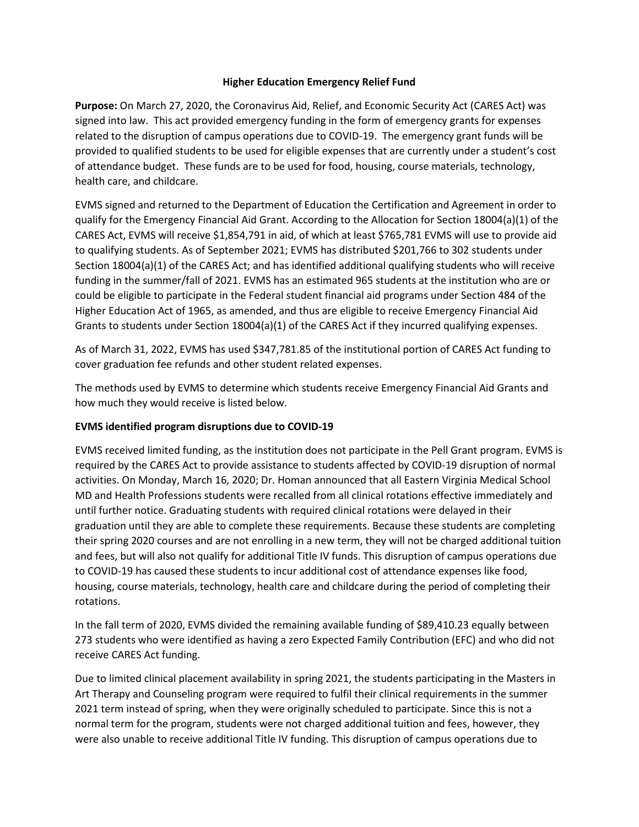## **Higher Education Emergency Relief Fund**

**Purpose:** On March 27, 2020, the Coronavirus Aid, Relief, and Economic Security Act (CARES Act) was signed into law. This act provided emergency funding in the form of emergency grants for expenses related to the disruption of campus operations due to COVID-19. The emergency grant funds will be provided to qualified students to be used for eligible expenses that are currently under a student's cost of attendance budget. These funds are to be used for food, housing, course materials, technology, health care, and childcare.

EVMS signed and returned to the Department of Education the Certification and Agreement in order to qualify for the Emergency Financial Aid Grant. According to the Allocation for Section 18004(a)(1) of the CARES Act, EVMS will receive \$1,854,791 in aid, of which at least \$765,781 EVMS will use to provide aid to qualifying students. As of September 2021; EVMS has distributed \$201,766 to 302 students under Section 18004(a)(1) of the CARES Act; and has identified additional qualifying students who will receive funding in the summer/fall of 2021. EVMS has an estimated 965 students at the institution who are or could be eligible to participate in the Federal student financial aid programs under Section 484 of the Higher Education Act of 1965, as amended, and thus are eligible to receive Emergency Financial Aid Grants to students under Section 18004(a)(1) of the CARES Act if they incurred qualifying expenses.

As of March 31, 2022, EVMS has used \$347,781.85 of the institutional portion of CARES Act funding to cover graduation fee refunds and other student related expenses.

The methods used by EVMS to determine which students receive Emergency Financial Aid Grants and how much they would receive is listed below.

## **EVMS identified program disruptions due to COVID-19**

EVMS received limited funding, as the institution does not participate in the Pell Grant program. EVMS is required by the CARES Act to provide assistance to students affected by COVID-19 disruption of normal activities. On Monday, March 16, 2020; Dr. Homan announced that all Eastern Virginia Medical School MD and Health Professions students were recalled from all clinical rotations effective immediately and until further notice. Graduating students with required clinical rotations were delayed in their graduation until they are able to complete these requirements. Because these students are completing their spring 2020 courses and are not enrolling in a new term, they will not be charged additional tuition and fees, but will also not qualify for additional Title IV funds. This disruption of campus operations due to COVID-19 has caused these students to incur additional cost of attendance expenses like food, housing, course materials, technology, health care and childcare during the period of completing their rotations.

In the fall term of 2020, EVMS divided the remaining available funding of \$89,410.23 equally between 273 students who were identified as having a zero Expected Family Contribution (EFC) and who did not receive CARES Act funding.

Due to limited clinical placement availability in spring 2021, the students participating in the Masters in Art Therapy and Counseling program were required to fulfil their clinical requirements in the summer 2021 term instead of spring, when they were originally scheduled to participate. Since this is not a normal term for the program, students were not charged additional tuition and fees, however, they were also unable to receive additional Title IV funding. This disruption of campus operations due to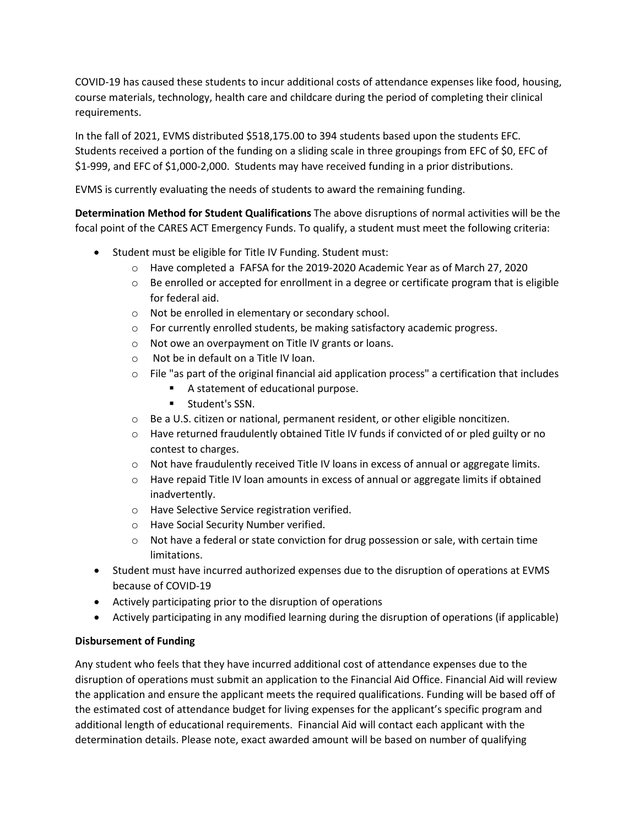COVID-19 has caused these students to incur additional costs of attendance expenses like food, housing, course materials, technology, health care and childcare during the period of completing their clinical requirements.

In the fall of 2021, EVMS distributed \$518,175.00 to 394 students based upon the students EFC. Students received a portion of the funding on a sliding scale in three groupings from EFC of \$0, EFC of \$1-999, and EFC of \$1,000-2,000. Students may have received funding in a prior distributions.

EVMS is currently evaluating the needs of students to award the remaining funding.

**Determination Method for Student Qualifications** The above disruptions of normal activities will be the focal point of the CARES ACT Emergency Funds. To qualify, a student must meet the following criteria:

- Student must be eligible for Title IV Funding. Student must:
	- o Have completed a FAFSA for the 2019-2020 Academic Year as of March 27, 2020
	- $\circ$  Be enrolled or accepted for enrollment in a degree or certificate program that is eligible for federal aid.
	- o Not be enrolled in elementary or secondary school.
	- o For currently enrolled students, be making satisfactory academic progress.
	- o Not owe an overpayment on Title IV grants or loans.
	- o Not be in default on a Title IV loan.
	- $\circ$  File "as part of the original financial aid application process" a certification that includes
		- A statement of educational purpose.
		- **E** Student's SSN.
	- o Be a U.S. citizen or national, permanent resident, or other eligible noncitizen.
	- $\circ$  Have returned fraudulently obtained Title IV funds if convicted of or pled guilty or no contest to charges.
	- o Not have fraudulently received Title IV loans in excess of annual or aggregate limits.
	- $\circ$  Have repaid Title IV loan amounts in excess of annual or aggregate limits if obtained inadvertently.
	- o Have Selective Service registration verified.
	- o Have Social Security Number verified.
	- $\circ$  Not have a federal or state conviction for drug possession or sale, with certain time limitations.
- Student must have incurred authorized expenses due to the disruption of operations at EVMS because of COVID-19
- Actively participating prior to the disruption of operations
- Actively participating in any modified learning during the disruption of operations (if applicable)

## **Disbursement of Funding**

Any student who feels that they have incurred additional cost of attendance expenses due to the disruption of operations must submit an application to the Financial Aid Office. Financial Aid will review the application and ensure the applicant meets the required qualifications. Funding will be based off of the estimated cost of attendance budget for living expenses for the applicant's specific program and additional length of educational requirements. Financial Aid will contact each applicant with the determination details. Please note, exact awarded amount will be based on number of qualifying